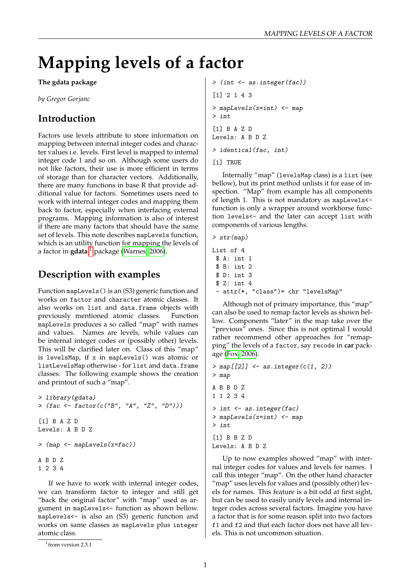# **Mapping levels of a factor**

**The gdata package**

*by Gregor Gorjanc*

### **Introduction**

Factors use levels attribute to store information on mapping between internal integer codes and character values i.e. levels. First level is mapped to internal integer code 1 and so on. Although some users do not like factors, their use is more efficient in terms of storage than for character vectors. Additionally, there are many functions in base R that provide additional value for factors. Sometimes users need to work with internal integer codes and mapping them back to factor, especially when interfacing external programs. Mapping information is also of interest if there are many factors that should have the same set of levels. This note describes mapLevels function, which is an utility function for mapping the levels of a factor in **gdata** [1](#page-0-0) package [\(Warnes, 2006\)](#page-2-0).

#### **Description with examples**

Function mapLevels() is an (S3) generic function and works on factor and character atomic classes. It also works on list and data.frame objects with previously mentioned atomic classes. Function mapLevels produces a so called "map" with names and values. Names are levels, while values can be internal integer codes or (possibly other) levels. This will be clarified later on. Class of this "map" is levelsMap, if x in mapLevels() was atomic or listLevelsMap otherwise - for list and data.frame classes. The following example shows the creation and printout of such a "map".

```
> library(gdata)
> (fac \le factor(c("B", "A", "Z", "D")))
[1] B A Z D
Levels: A B D Z
> (map <- mapLevels(x=fac))
A B D Z
1 2 3 4
```
If we have to work with internal integer codes, we can transform factor to integer and still get "back the original factor" with "map" used as argument in mapLevels<- function as shown bellow. mapLevels<- is also an (S3) generic function and works on same classes as mapLevels plus integer atomic class.

> (int <- as.integer(fac)) [1] 2 1 4 3 > mapLevels(x=int) <- map > int [1] B A Z D Levels: A B D Z > identical(fac, int)

[1] TRUE

Internally "map" (levelsMap class) is a list (see bellow), but its print method unlists it for ease of inspection. "Map" from example has all components of length 1. This is not mandatory as mapLevels< function is only a wrapper around workhorse function levels<- and the later can accept list with components of various lengths.

```
> str(map)
```

```
List of 4
 $ A: int 1
 $ B: int 2
 $ D: int 3
 $ Z: int 4
 - attr(*, "class")= chr "levelsMap"
```
Although not of primary importance, this "map" can also be used to remap factor levels as shown bellow. Components "later" in the map take over the "previous" ones. Since this is not optimal I would rather recommend other approaches for "remapping" the levels of a factor, say recode in **car** package [\(Fox, 2006\)](#page-2-1).

```
> map[[2]] \leq as.integer(c(1, 2))
> map
A B B D Z
1 1 2 3 4
> int <- as.integer(fac)
> mapLevels(x=int) <- map
> int
[1] B B Z D
Levels: A B D Z
```
Up to now examples showed "map" with internal integer codes for values and levels for names. I call this integer "map". On the other hand character "map" uses levels for values and (possibly other) levels for names. This feature is a bit odd at first sight, but can be used to easily unify levels and internal integer codes across several factors. Imagine you have a factor that is for some reason split into two factors f1 and f2 and that each factor does not have all levels. This is not uncommon situation.

<span id="page-0-0"></span><sup>1</sup> from version 2.3.1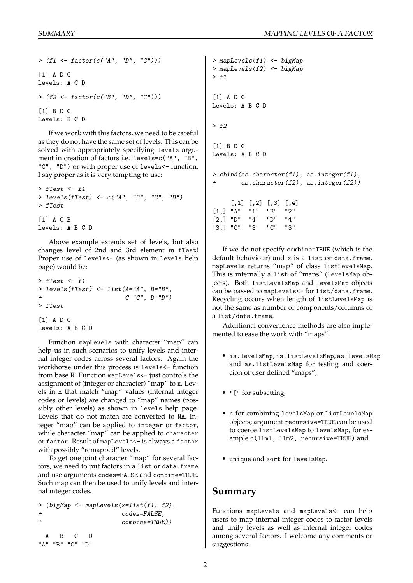```
> (f1 <- factor(c("A", "D", "C")))
[1] A D C
Levels: A C D
> (f2 <- factor(c("B", "D", "C")))
[1] B D C
Levels: B C D
```
If we work with this factors, we need to be careful as they do not have the same set of levels. This can be solved with appropriately specifying levels argument in creation of factors i.e. levels=c("A", "B", "C", "D") or with proper use of levels<- function. I say proper as it is very tempting to use:

```
> fTest \leq f1
> levels(fTest) <- c("A", "B", "C", "D")
> fTest
[1] A C B
Levels: A B C D
```
Above example extends set of levels, but also changes level of 2nd and 3rd element in fTest! Proper use of levels<- (as shown in levels help page) would be:

```
> fTest <- f1
> levels(fTest) <- list(A="A", B="B",
                         C = "C", D = "D")> fTest
[1] A D C
Levels: A B C D
```
Function mapLevels with character "map" can help us in such scenarios to unify levels and internal integer codes across several factors. Again the workhorse under this process is levels<- function from base R! Function mapLevels<- just controls the assignment of (integer or character) "map" to x. Levels in x that match "map" values (internal integer codes or levels) are changed to "map" names (possibly other levels) as shown in levels help page. Levels that do not match are converted to NA. Integer "map" can be applied to integer or factor, while character "map" can be applied to character or factor. Result of mapLevels<- is always a factor with possibly "remapped" levels.

To get one joint character "map" for several factors, we need to put factors in a list or data.frame and use arguments codes=FALSE and combine=TRUE. Such map can then be used to unify levels and internal integer codes.

```
> (bigMap <- mapLevels(x=list(f1, f2),
+ codes=FALSE,
                  combine=TRUE))
 A B C D
"A" "B" "C" "D"
```

```
> mapLevels(f1) <- bigMap
> mapLevels(f2) <- bigMap
> f1[1] A D C
Levels: A B C D
> f2[1] B D C
Levels: A B C D
> cbind(as.character(f1), as.integer(f1),
        as.character(f2), as.integer(f2))
     [,1] [,2] [,3] [,4]
[1,] "A" "1" "B" "2"
[2,] "D" "4" "D" "4"
[3,] "C" "3" "C" "3"
```
If we do not specify combine=TRUE (which is the default behaviour) and x is a list or data.frame, mapLevels returns "map" of class listLevelsMap. This is internally a list of "maps" (levelsMap objects). Both listLevelsMap and levelsMap objects can be passed to mapLevels<- for list/data.frame. Recycling occurs when length of listLevelsMap is not the same as number of components/columns of a list/data.frame.

Additional convenience methods are also implemented to ease the work with "maps":

- is.levelsMap, is.listLevelsMap, as.levelsMap and as.listLevelsMap for testing and coercion of user defined "maps",
- "[" for subsetting,
- c for combining levelsMap or listLevelsMap objects; argument recursive=TRUE can be used to coerce listLevelsMap to levelsMap, for example c(llm1, llm2, recursive=TRUE) and
- unique and sort for levelsMap.

#### **Summary**

Functions mapLevels and mapLevels<- can help users to map internal integer codes to factor levels and unify levels as well as internal integer codes among several factors. I welcome any comments or suggestions.